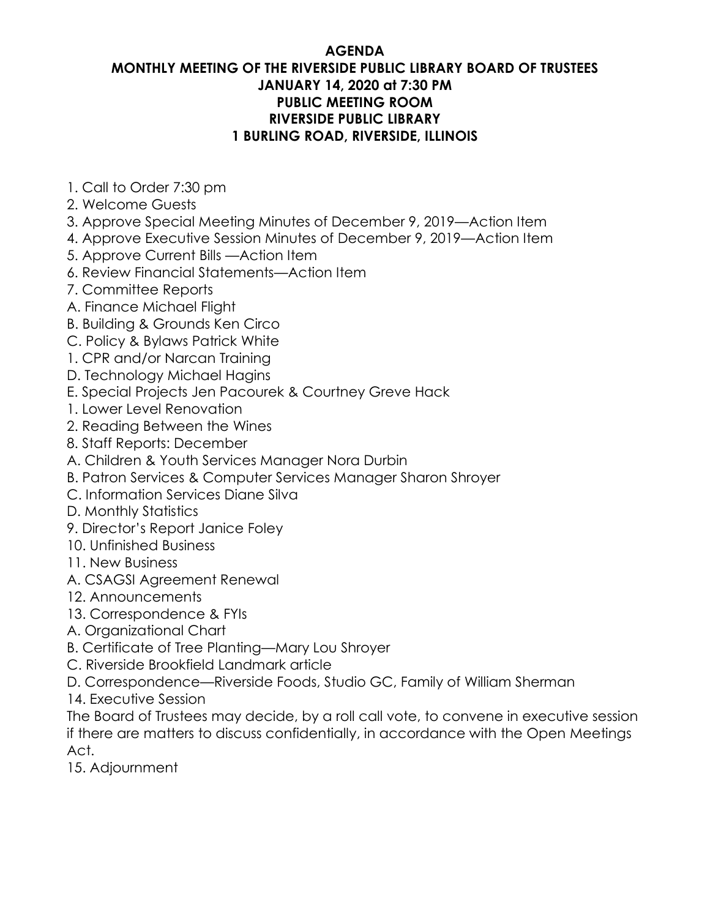# **AGENDA**

# **MONTHLY MEETING OF THE RIVERSIDE PUBLIC LIBRARY BOARD OF TRUSTEES JANUARY 14, 2020 at 7:30 PM PUBLIC MEETING ROOM RIVERSIDE PUBLIC LIBRARY 1 BURLING ROAD, RIVERSIDE, ILLINOIS**

- 1. Call to Order 7:30 pm
- 2. Welcome Guests
- 3. Approve Special Meeting Minutes of December 9, 2019—Action Item
- 4. Approve Executive Session Minutes of December 9, 2019—Action Item
- 5. Approve Current Bills —Action Item
- 6. Review Financial Statements—Action Item
- 7. Committee Reports
- A. Finance Michael Flight
- B. Building & Grounds Ken Circo
- C. Policy & Bylaws Patrick White
- 1. CPR and/or Narcan Training
- D. Technology Michael Hagins
- E. Special Projects Jen Pacourek & Courtney Greve Hack
- 1. Lower Level Renovation
- 2. Reading Between the Wines
- 8. Staff Reports: December
- A. Children & Youth Services Manager Nora Durbin
- B. Patron Services & Computer Services Manager Sharon Shroyer
- C. Information Services Diane Silva
- D. Monthly Statistics
- 9. Director's Report Janice Foley
- 10. Unfinished Business
- 11. New Business
- A. CSAGSI Agreement Renewal
- 12. Announcements
- 13. Correspondence & FYIs
- A. Organizational Chart
- B. Certificate of Tree Planting—Mary Lou Shroyer
- C. Riverside Brookfield Landmark article
- D. Correspondence—Riverside Foods, Studio GC, Family of William Sherman
- 14. Executive Session

The Board of Trustees may decide, by a roll call vote, to convene in executive session if there are matters to discuss confidentially, in accordance with the Open Meetings Act.

15. Adjournment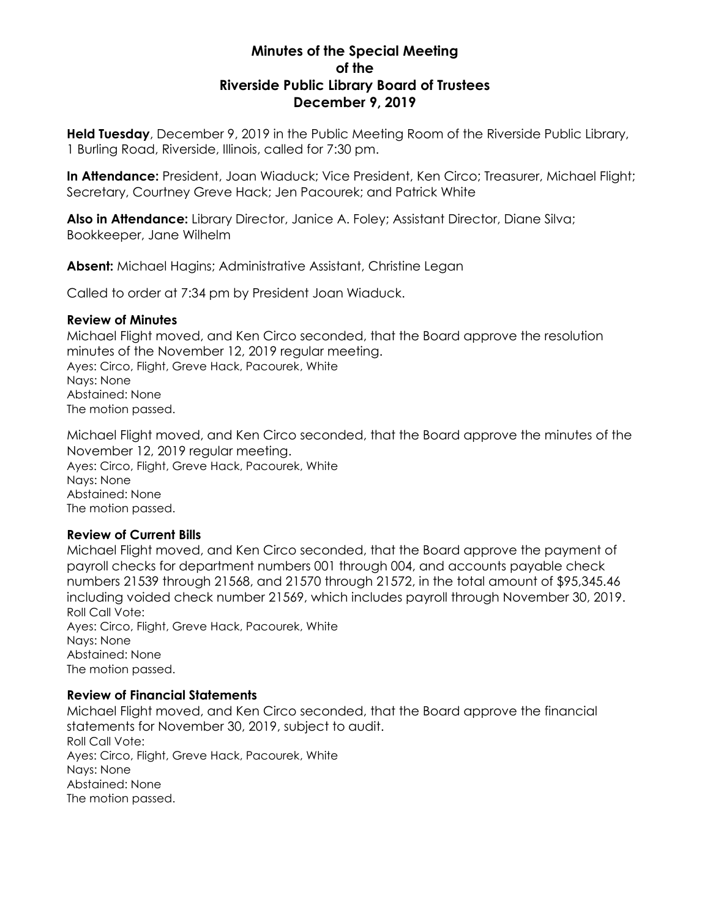## **Minutes of the Special Meeting of the Riverside Public Library Board of Trustees December 9, 2019**

**Held Tuesday**, December 9, 2019 in the Public Meeting Room of the Riverside Public Library, 1 Burling Road, Riverside, Illinois, called for 7:30 pm.

**In Attendance:** President, Joan Wiaduck; Vice President, Ken Circo; Treasurer, Michael Flight; Secretary, Courtney Greve Hack; Jen Pacourek; and Patrick White

**Also in Attendance:** Library Director, Janice A. Foley; Assistant Director, Diane Silva; Bookkeeper, Jane Wilhelm

**Absent:** Michael Hagins; Administrative Assistant, Christine Legan

Called to order at 7:34 pm by President Joan Wiaduck.

## **Review of Minutes**

Michael Flight moved, and Ken Circo seconded, that the Board approve the resolution minutes of the November 12, 2019 regular meeting. Ayes: Circo, Flight, Greve Hack, Pacourek, White Nays: None Abstained: None The motion passed.

Michael Flight moved, and Ken Circo seconded, that the Board approve the minutes of the November 12, 2019 regular meeting. Ayes: Circo, Flight, Greve Hack, Pacourek, White Nays: None Abstained: None The motion passed.

## **Review of Current Bills**

Michael Flight moved, and Ken Circo seconded, that the Board approve the payment of payroll checks for department numbers 001 through 004, and accounts payable check numbers 21539 through 21568, and 21570 through 21572, in the total amount of \$95,345.46 including voided check number 21569, which includes payroll through November 30, 2019. Roll Call Vote: Ayes: Circo, Flight, Greve Hack, Pacourek, White Nays: None Abstained: None The motion passed.

#### **Review of Financial Statements**

Michael Flight moved, and Ken Circo seconded, that the Board approve the financial statements for November 30, 2019, subject to audit. Roll Call Vote: Ayes: Circo, Flight, Greve Hack, Pacourek, White Nays: None Abstained: None The motion passed.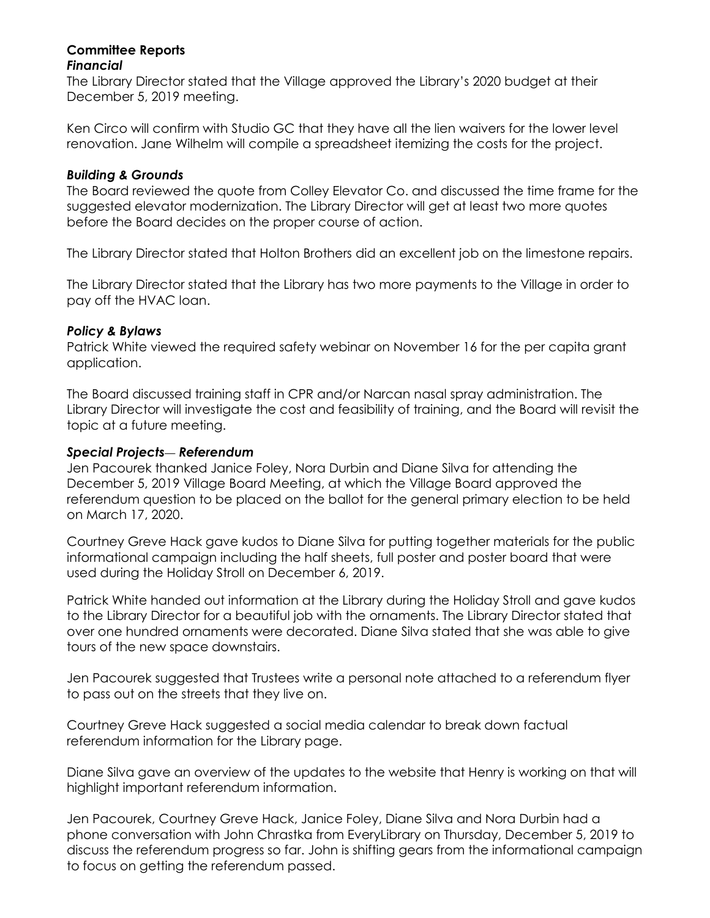#### **Committee Reports** *Financial*

The Library Director stated that the Village approved the Library's 2020 budget at their December 5, 2019 meeting.

Ken Circo will confirm with Studio GC that they have all the lien waivers for the lower level renovation. Jane Wilhelm will compile a spreadsheet itemizing the costs for the project.

## *Building & Grounds*

The Board reviewed the quote from Colley Elevator Co. and discussed the time frame for the suggested elevator modernization. The Library Director will get at least two more quotes before the Board decides on the proper course of action.

The Library Director stated that Holton Brothers did an excellent job on the limestone repairs.

The Library Director stated that the Library has two more payments to the Village in order to pay off the HVAC loan.

## *Policy & Bylaws*

Patrick White viewed the required safety webinar on November 16 for the per capita grant application.

The Board discussed training staff in CPR and/or Narcan nasal spray administration. The Library Director will investigate the cost and feasibility of training, and the Board will revisit the topic at a future meeting.

## *Special Projects*— *Referendum*

Jen Pacourek thanked Janice Foley, Nora Durbin and Diane Silva for attending the December 5, 2019 Village Board Meeting, at which the Village Board approved the referendum question to be placed on the ballot for the general primary election to be held on March 17, 2020.

Courtney Greve Hack gave kudos to Diane Silva for putting together materials for the public informational campaign including the half sheets, full poster and poster board that were used during the Holiday Stroll on December 6, 2019.

Patrick White handed out information at the Library during the Holiday Stroll and gave kudos to the Library Director for a beautiful job with the ornaments. The Library Director stated that over one hundred ornaments were decorated. Diane Silva stated that she was able to give tours of the new space downstairs.

Jen Pacourek suggested that Trustees write a personal note attached to a referendum flyer to pass out on the streets that they live on.

Courtney Greve Hack suggested a social media calendar to break down factual referendum information for the Library page.

Diane Silva gave an overview of the updates to the website that Henry is working on that will highlight important referendum information.

Jen Pacourek, Courtney Greve Hack, Janice Foley, Diane Silva and Nora Durbin had a phone conversation with John Chrastka from EveryLibrary on Thursday, December 5, 2019 to discuss the referendum progress so far. John is shifting gears from the informational campaign to focus on getting the referendum passed.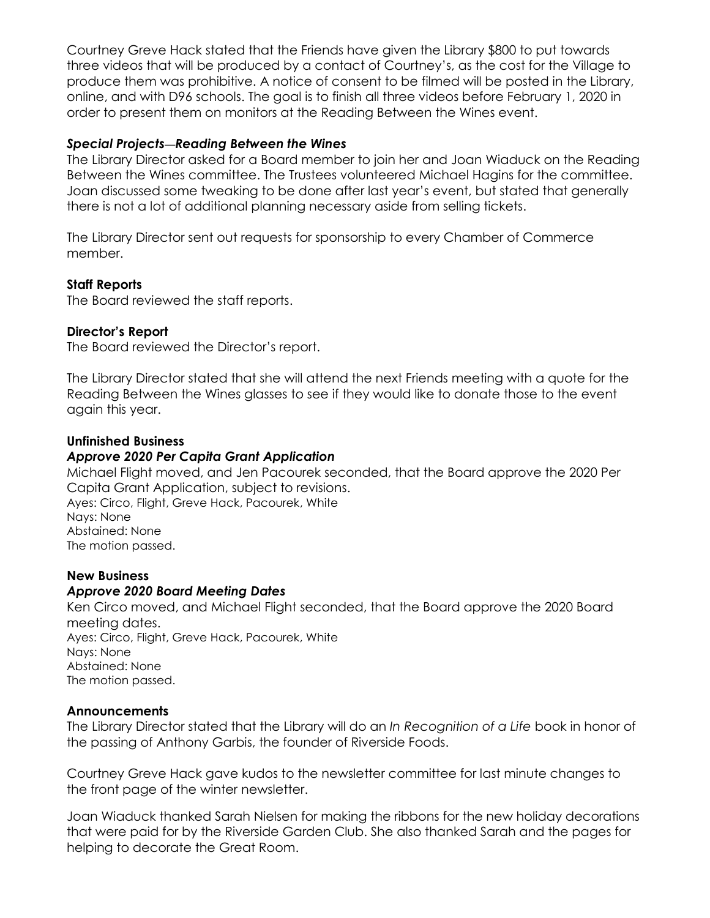Courtney Greve Hack stated that the Friends have given the Library \$800 to put towards three videos that will be produced by a contact of Courtney's, as the cost for the Village to produce them was prohibitive. A notice of consent to be filmed will be posted in the Library, online, and with D96 schools. The goal is to finish all three videos before February 1, 2020 in order to present them on monitors at the Reading Between the Wines event.

## *Special Projects*—*Reading Between the Wines*

The Library Director asked for a Board member to join her and Joan Wiaduck on the Reading Between the Wines committee. The Trustees volunteered Michael Hagins for the committee. Joan discussed some tweaking to be done after last year's event, but stated that generally there is not a lot of additional planning necessary aside from selling tickets.

The Library Director sent out requests for sponsorship to every Chamber of Commerce member.

#### **Staff Reports**

The Board reviewed the staff reports.

#### **Director's Report**

The Board reviewed the Director's report.

The Library Director stated that she will attend the next Friends meeting with a quote for the Reading Between the Wines glasses to see if they would like to donate those to the event again this year.

#### **Unfinished Business**

#### *Approve 2020 Per Capita Grant Application*

Michael Flight moved, and Jen Pacourek seconded, that the Board approve the 2020 Per Capita Grant Application, subject to revisions.

Ayes: Circo, Flight, Greve Hack, Pacourek, White Nays: None Abstained: None The motion passed.

#### **New Business**

## *Approve 2020 Board Meeting Dates*

Ken Circo moved, and Michael Flight seconded, that the Board approve the 2020 Board meeting dates. Ayes: Circo, Flight, Greve Hack, Pacourek, White Nays: None Abstained: None The motion passed.

#### **Announcements**

The Library Director stated that the Library will do an *In Recognition of a Life* book in honor of the passing of Anthony Garbis, the founder of Riverside Foods.

Courtney Greve Hack gave kudos to the newsletter committee for last minute changes to the front page of the winter newsletter.

Joan Wiaduck thanked Sarah Nielsen for making the ribbons for the new holiday decorations that were paid for by the Riverside Garden Club. She also thanked Sarah and the pages for helping to decorate the Great Room.